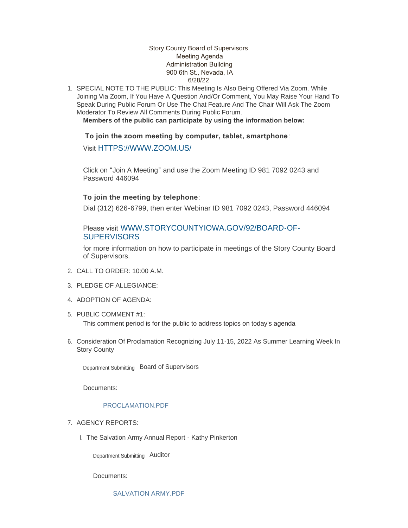### Story County Board of Supervisors Meeting Agenda Administration Building 900 6th St., Nevada, IA 6/28/22

1. SPECIAL NOTE TO THE PUBLIC: This Meeting Is Also Being Offered Via Zoom. While Joining Via Zoom, If You Have A Question And/Or Comment, You May Raise Your Hand To Speak During Public Forum Or Use The Chat Feature And The Chair Will Ask The Zoom Moderator To Review All Comments During Public Forum.

**Members of the public can participate by using the information below:**

 **To join the zoom meeting by computer, tablet, smartphone**:

Visit [HTTPS://WWW.ZOOM.US/](https://www.zoom.us/)

Click on "Join A Meeting" and use the Zoom Meeting ID 981 7092 0243 and Password 446094

# **To join the meeting by telephone**:

Dial (312) 626-6799, then enter Webinar ID 981 7092 0243, Password 446094

# Please visit [WWW.STORYCOUNTYIOWA.GOV/92/BOARD-OF-](http://www.storycountyiowa.gov/92/Board-of-Supervisors)**SUPERVISORS**

for more information on how to participate in meetings of the Story County Board of Supervisors.

- CALL TO ORDER: 10:00 A.M. 2.
- PLEDGE OF ALLEGIANCE: 3.
- 4. ADOPTION OF AGENDA:
- 5. PUBLIC COMMENT #1:

This comment period is for the public to address topics on today's agenda

6. Consideration Of Proclamation Recognizing July 11-15, 2022 As Summer Learning Week In Story County

Department Submitting Board of Supervisors

Documents:

## PROCLAMATION PDF

- 7. AGENCY REPORTS:
	- I. The Salvation Army Annual Report Kathy Pinkerton

Department Submitting Auditor

Documents:

SALVATION ARMY PDF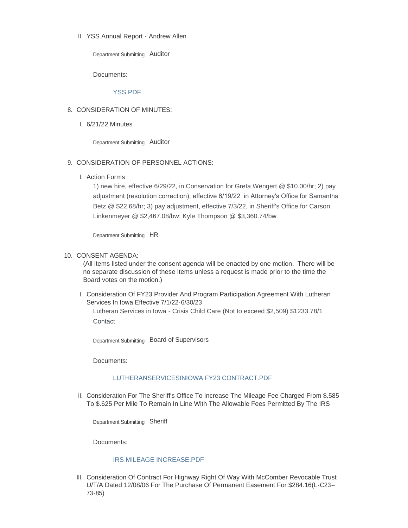YSS Annual Report - Andrew Allen II.

Department Submitting Auditor

Documents:

### [YSS.PDF](https://www.storycountyiowa.gov/AgendaCenter/ViewFile/Item/24145?fileID=18522)

### 8. CONSIDERATION OF MINUTES:

6/21/22 Minutes I.

Department Submitting Auditor

### 9. CONSIDERATION OF PERSONNEL ACTIONS:

Action Forms I.

1) new hire, effective 6/29/22, in Conservation for Greta Wengert @ \$10.00/hr; 2) pay adjustment (resolution correction), effective 6/19/22 in Attorney's Office for Samantha Betz @ \$22.68/hr; 3) pay adjustment, effective 7/3/22, in Sheriff's Office for Carson Linkenmeyer @ \$2,467.08/bw; Kyle Thompson @ \$3,360.74/bw

Department Submitting HR

#### 10. CONSENT AGENDA:

(All items listed under the consent agenda will be enacted by one motion. There will be no separate discussion of these items unless a request is made prior to the time the Board votes on the motion.)

I. Consideration Of FY23 Provider And Program Participation Agreement With Lutheran Services In Iowa Effective 7/1/22-6/30/23

Lutheran Services in Iowa - Crisis Child Care (Not to exceed \$2,509) \$1233.78/1 **Contact** 

Department Submitting Board of Supervisors

Documents:

### [LUTHERANSERVICESINIOWA FY23 CONTRACT.PDF](https://www.storycountyiowa.gov/AgendaCenter/ViewFile/Item/24611?fileID=18474)

II. Consideration For The Sheriff's Office To Increase The Mileage Fee Charged From \$.585 To \$.625 Per Mile To Remain In Line With The Allowable Fees Permitted By The IRS

Department Submitting Sheriff

Documents:

#### [IRS MILEAGE INCREASE.PDF](https://www.storycountyiowa.gov/AgendaCenter/ViewFile/Item/24624?fileID=18477)

III. Consideration Of Contract For Highway Right Of Way With McComber Revocable Trust U/T/A Dated 12/08/06 For The Purchase Of Permanent Easement For \$284.16(L-C23-- 73-85)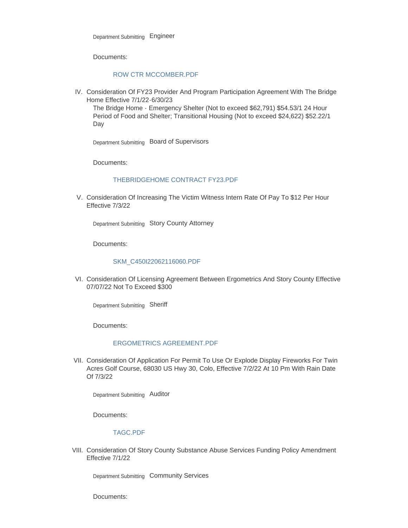Documents:

#### [ROW CTR MCCOMBER.PDF](https://www.storycountyiowa.gov/AgendaCenter/ViewFile/Item/24626?fileID=18481)

IV. Consideration Of FY23 Provider And Program Participation Agreement With The Bridge Home Effective 7/1/22-6/30/23

The Bridge Home - Emergency Shelter (Not to exceed \$62,791) \$54.53/1 24 Hour Period of Food and Shelter; Transitional Housing (Not to exceed \$24,622) \$52.22/1 Day

Department Submitting Board of Supervisors

Documents:

### [THEBRIDGEHOME CONTRACT FY23.PDF](https://www.storycountyiowa.gov/AgendaCenter/ViewFile/Item/24646?fileID=18497)

V. Consideration Of Increasing The Victim Witness Intern Rate Of Pay To \$12 Per Hour Effective 7/3/22

Department Submitting Story County Attorney

Documents:

#### [SKM\\_C450I22062116060.PDF](https://www.storycountyiowa.gov/AgendaCenter/ViewFile/Item/24647?fileID=18498)

VI. Consideration Of Licensing Agreement Between Ergometrics And Story County Effective 07/07/22 Not To Exceed \$300

Department Submitting Sheriff

Documents:

#### [ERGOMETRICS AGREEMENT.PDF](https://www.storycountyiowa.gov/AgendaCenter/ViewFile/Item/24627?fileID=18482)

VII. Consideration Of Application For Permit To Use Or Explode Display Fireworks For Twin Acres Golf Course, 68030 US Hwy 30, Colo, Effective 7/2/22 At 10 Pm With Rain Date Of 7/3/22

Department Submitting Auditor

Documents:

#### [TAGC.PDF](https://www.storycountyiowa.gov/AgendaCenter/ViewFile/Item/24649?fileID=18500)

VIII. Consideration Of Story County Substance Abuse Services Funding Policy Amendment Effective 7/1/22

Department Submitting Community Services

Documents: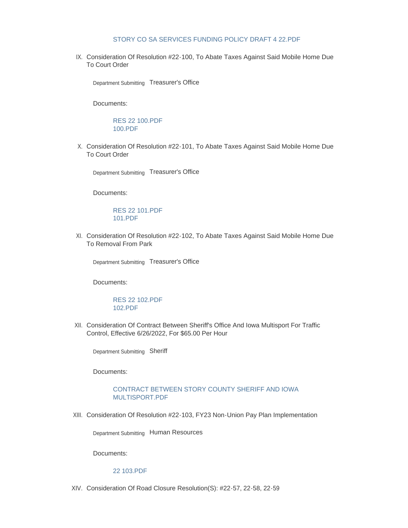#### [STORY CO SA SERVICES FUNDING POLICY DRAFT 4 22.PDF](https://www.storycountyiowa.gov/AgendaCenter/ViewFile/Item/24648?fileID=18499)

IX. Consideration Of Resolution #22-100, To Abate Taxes Against Said Mobile Home Due To Court Order

Department Submitting Treasurer's Office

Documents:

[RES 22 100.PDF](https://www.storycountyiowa.gov/AgendaCenter/ViewFile/Item/24657?fileID=18507) [100.PDF](https://www.storycountyiowa.gov/AgendaCenter/ViewFile/Item/24657?fileID=18508)

X. Consideration Of Resolution #22-101, To Abate Taxes Against Said Mobile Home Due To Court Order

Department Submitting Treasurer's Office

Documents:

[RES 22 101.PDF](https://www.storycountyiowa.gov/AgendaCenter/ViewFile/Item/24658?fileID=18509) [101.PDF](https://www.storycountyiowa.gov/AgendaCenter/ViewFile/Item/24658?fileID=18510)

XI. Consideration Of Resolution #22-102, To Abate Taxes Against Said Mobile Home Due To Removal From Park

Department Submitting Treasurer's Office

Documents:

[RES 22 102.PDF](https://www.storycountyiowa.gov/AgendaCenter/ViewFile/Item/24659?fileID=18511) [102.PDF](https://www.storycountyiowa.gov/AgendaCenter/ViewFile/Item/24659?fileID=18512)

XII. Consideration Of Contract Between Sheriff's Office And Iowa Multisport For Traffic Control, Effective 6/26/2022, For \$65.00 Per Hour

Department Submitting Sheriff

Documents:

### [CONTRACT BETWEEN STORY COUNTY SHERIFF AND IOWA](https://www.storycountyiowa.gov/AgendaCenter/ViewFile/Item/24662?fileID=18517)  MULTISPORT.PDF

XIII. Consideration Of Resolution #22-103, FY23 Non-Union Pay Plan Implementation

Department Submitting Human Resources

Documents:

[22 103.PDF](https://www.storycountyiowa.gov/AgendaCenter/ViewFile/Item/24661?fileID=18524)

XIV. Consideration Of Road Closure Resolution(S): #22-57, 22-58, 22-59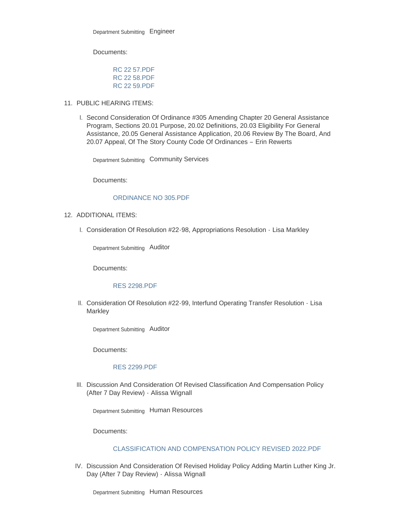Documents:

[RC 22 57.PDF](https://www.storycountyiowa.gov/AgendaCenter/ViewFile/Item/24625?fileID=18478) [RC 22 58.PDF](https://www.storycountyiowa.gov/AgendaCenter/ViewFile/Item/24625?fileID=18479) [RC 22 59.PDF](https://www.storycountyiowa.gov/AgendaCenter/ViewFile/Item/24625?fileID=18480)

- 11. PUBLIC HEARING ITEMS:
	- I. Second Consideration Of Ordinance #305 Amending Chapter 20 General Assistance Program, Sections 20.01 Purpose, 20.02 Definitions, 20.03 Eligibility For General Assistance, 20.05 General Assistance Application, 20.06 Review By The Board, And 20.07 Appeal, Of The Story County Code Of Ordinances – Erin Rewerts

Department Submitting Community Services

Documents:

### [ORDINANCE NO 305.PDF](https://www.storycountyiowa.gov/AgendaCenter/ViewFile/Item/24630?fileID=18490)

- 12. ADDITIONAL ITEMS:
	- Consideration Of Resolution #22-98, Appropriations Resolution Lisa Markley I.

Department Submitting Auditor

Documents:

### [RES 2298.PDF](https://www.storycountyiowa.gov/AgendaCenter/ViewFile/Item/24622?fileID=18475)

II. Consideration Of Resolution #22-99, Interfund Operating Transfer Resolution - Lisa **Markley** 

Department Submitting Auditor

Documents:

# [RES 2299.PDF](https://www.storycountyiowa.gov/AgendaCenter/ViewFile/Item/24623?fileID=18476)

III. Discussion And Consideration Of Revised Classification And Compensation Policy (After 7 Day Review) - Alissa Wignall

Department Submitting Human Resources

Documents:

#### [CLASSIFICATION AND COMPENSATION POLICY REVISED 2022.PDF](https://www.storycountyiowa.gov/AgendaCenter/ViewFile/Item/24655?fileID=18506)

IV. Discussion And Consideration Of Revised Holiday Policy Adding Martin Luther King Jr. Day (After 7 Day Review) - Alissa Wignall

Department Submitting Human Resources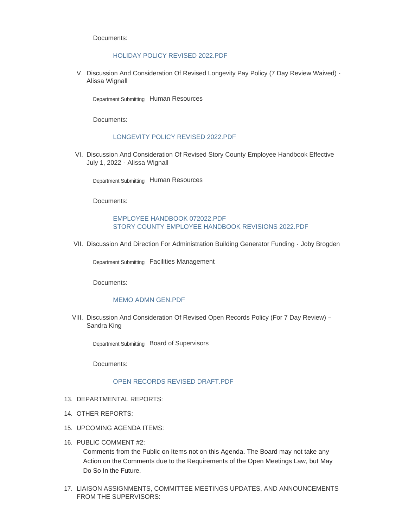Documents:

### [HOLIDAY POLICY REVISED 2022.PDF](https://www.storycountyiowa.gov/AgendaCenter/ViewFile/Item/24653?fileID=18504)

V. Discussion And Consideration Of Revised Longevity Pay Policy (7 Day Review Waived) -Alissa Wignall

Department Submitting Human Resources

Documents:

#### [LONGEVITY POLICY REVISED 2022.PDF](https://www.storycountyiowa.gov/AgendaCenter/ViewFile/Item/24654?fileID=18505)

VI. Discussion And Consideration Of Revised Story County Employee Handbook Effective July 1, 2022 - Alissa Wignall

Department Submitting Human Resources

Documents:

### [EMPLOYEE HANDBOOK 072022.PDF](https://www.storycountyiowa.gov/AgendaCenter/ViewFile/Item/24656?fileID=18514) [STORY COUNTY EMPLOYEE HANDBOOK REVISIONS 2022.PDF](https://www.storycountyiowa.gov/AgendaCenter/ViewFile/Item/24656?fileID=18515)

VII. Discussion And Direction For Administration Building Generator Funding · Joby Brogden

Department Submitting Facilities Management

Documents:

#### [MEMO ADMN GEN.PDF](https://www.storycountyiowa.gov/AgendaCenter/ViewFile/Item/24660?fileID=18513)

VIII. Discussion And Consideration Of Revised Open Records Policy (For 7 Day Review) -Sandra King

Department Submitting Board of Supervisors

Documents:

### [OPEN RECORDS REVISED DRAFT.PDF](https://www.storycountyiowa.gov/AgendaCenter/ViewFile/Item/24664?fileID=18520)

- 13. DEPARTMENTAL REPORTS:
- 14. OTHER REPORTS:
- 15. UPCOMING AGENDA ITEMS:
- 16. PUBLIC COMMENT #2:

Comments from the Public on Items not on this Agenda. The Board may not take any Action on the Comments due to the Requirements of the Open Meetings Law, but May Do So In the Future.

17. LIAISON ASSIGNMENTS, COMMITTEE MEETINGS UPDATES, AND ANNOUNCEMENTS FROM THE SUPERVISORS: